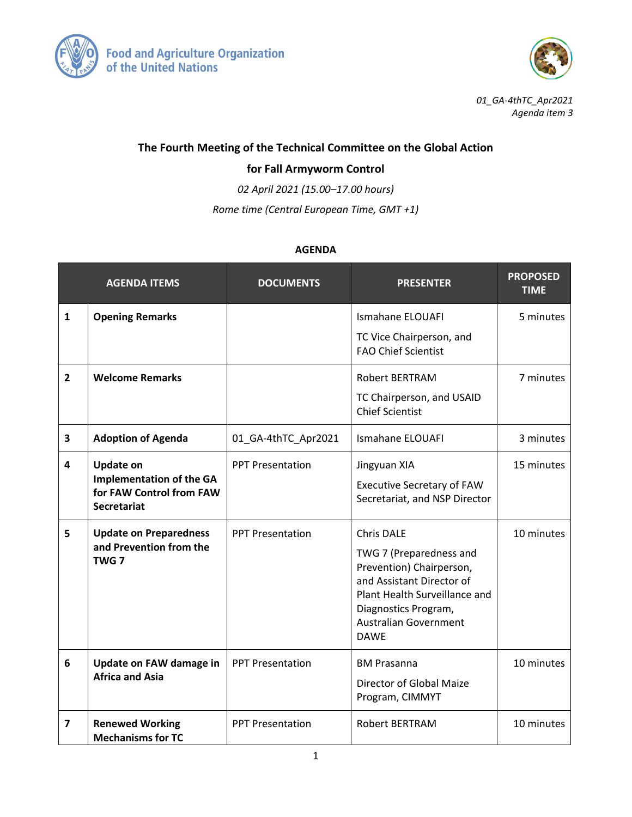



*01\_GA-4thTC\_Apr2021 Agenda item 3*

## **The Fourth Meeting of the Technical Committee on the Global Action**

## **for Fall Armyworm Control**

*02 April 2021 (15.00–17.00 hours)*

*Rome time (Central European Time, GMT +1)*

## **AGENDA**

|                         | <b>AGENDA ITEMS</b>                                                                                   | <b>DOCUMENTS</b>        | <b>PRESENTER</b>                                                                                                                                                                                              | <b>PROPOSED</b><br><b>TIME</b> |
|-------------------------|-------------------------------------------------------------------------------------------------------|-------------------------|---------------------------------------------------------------------------------------------------------------------------------------------------------------------------------------------------------------|--------------------------------|
| $\mathbf{1}$            | <b>Opening Remarks</b>                                                                                |                         | <b>Ismahane ELOUAFI</b><br>TC Vice Chairperson, and<br><b>FAO Chief Scientist</b>                                                                                                                             | 5 minutes                      |
| $\overline{2}$          | <b>Welcome Remarks</b>                                                                                |                         | <b>Robert BERTRAM</b><br>TC Chairperson, and USAID<br><b>Chief Scientist</b>                                                                                                                                  | 7 minutes                      |
| 3                       | <b>Adoption of Agenda</b>                                                                             | 01_GA-4thTC_Apr2021     | Ismahane ELOUAFI                                                                                                                                                                                              | 3 minutes                      |
| 4                       | <b>Update on</b><br><b>Implementation of the GA</b><br>for FAW Control from FAW<br><b>Secretariat</b> | <b>PPT Presentation</b> | Jingyuan XIA<br><b>Executive Secretary of FAW</b><br>Secretariat, and NSP Director                                                                                                                            | 15 minutes                     |
| 5                       | <b>Update on Preparedness</b><br>and Prevention from the<br>TWG <sub>7</sub>                          | <b>PPT Presentation</b> | <b>Chris DALE</b><br>TWG 7 (Preparedness and<br>Prevention) Chairperson,<br>and Assistant Director of<br>Plant Health Surveillance and<br>Diagnostics Program,<br><b>Australian Government</b><br><b>DAWE</b> | 10 minutes                     |
| 6                       | Update on FAW damage in<br><b>Africa and Asia</b>                                                     | <b>PPT Presentation</b> | <b>BM Prasanna</b><br>Director of Global Maize<br>Program, CIMMYT                                                                                                                                             | 10 minutes                     |
| $\overline{\mathbf{z}}$ | <b>Renewed Working</b><br><b>Mechanisms for TC</b>                                                    | <b>PPT Presentation</b> | <b>Robert BERTRAM</b>                                                                                                                                                                                         | 10 minutes                     |